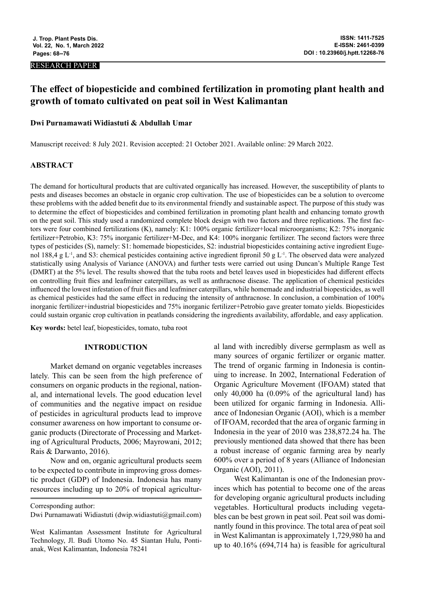#### RESEARCH PAPER

# **The effect of biopesticide and combined fertilization in promoting plant health and growth of tomato cultivated on peat soil in West Kalimantan**

## **Dwi Purnamawati Widiastuti & Abdullah Umar**

Manuscript received: 8 July 2021. Revision accepted: 21 October 2021. Available online: 29 March 2022.

## **ABSTRACT**

The demand for horticultural products that are cultivated organically has increased. However, the susceptibility of plants to pests and diseases becomes an obstacle in organic crop cultivation. The use of biopesticides can be a solution to overcome these problems with the added benefit due to its environmental friendly and sustainable aspect. The purpose of this study was to determine the effect of biopesticides and combined fertilization in promoting plant health and enhancing tomato growth on the peat soil. This study used a randomized complete block design with two factors and three replications. The first factors were four combined fertilizations (K), namely: K1: 100% organic fertilizer+local microorganisms; K2: 75% inorganic fertilizer+Petrobio, K3: 75% inorganic fertilizer+M-Dec, and K4: 100% inorganic fertilizer. The second factors were three types of pesticides (S), namely: S1: homemade biopesticides, S2: industrial biopesticides containing active ingredient Eugenol 188,4 g L<sup>-1</sup>, and S3: chemical pesticides containing active ingredient fipronil 50 g L<sup>-1</sup>. The observed data were analyzed statistically using Analysis of Variance (ANOVA) and further tests were carried out using Duncan's Multiple Range Test (DMRT) at the 5% level. The results showed that the tuba roots and betel leaves used in biopesticides had different effects on controlling fruit flies and leafminer caterpillars, as well as anthracnose disease. The application of chemical pesticides influenced the lowest infestation of fruit flies and leafminer caterpillars, while homemade and industrial biopesticides, as well as chemical pesticides had the same effect in reducing the intensity of anthracnose. In conclusion, a combination of 100% inorganic fertilizer+industrial biopesticides and 75% inorganic fertilizer+Petrobio gave greater tomato yields. Biopesticides could sustain organic crop cultivation in peatlands considering the ingredients availability, affordable, and easy application.

**Key words:** betel leaf, biopesticides, tomato, tuba root

#### **INTRODUCTION**

Market demand on organic vegetables increases lately. This can be seen from the high preference of consumers on organic products in the regional, national, and international levels. The good education level of communities and the negative impact on residue of pesticides in agricultural products lead to improve consumer awareness on how important to consume organic products (Directorate of Processing and Marketing of Agricultural Products, 2006; Mayrowani, 2012; Rais & Darwanto, 2016).

Now and on, organic agricultural products seem to be expected to contribute in improving gross domestic product (GDP) of Indonesia. Indonesia has many resources including up to 20% of tropical agricultural land with incredibly diverse germplasm as well as many sources of organic fertilizer or organic matter. The trend of organic farming in Indonesia is continuing to increase. In 2002, International Federation of Organic Agriculture Movement (IFOAM) stated that only 40,000 ha (0.09% of the agricultural land) has been utilized for organic farming in Indonesia. Alliance of Indonesian Organic (AOI), which is a member of IFOAM, recorded that the area of organic farming in Indonesia in the year of 2010 was 238,872.24 ha. The previously mentioned data showed that there has been a robust increase of organic farming area by nearly 600% over a period of 8 years (Alliance of Indonesian Organic (AOI), 2011).

West Kalimantan is one of the Indonesian provinces which has potential to become one of the areas for developing organic agricultural products including vegetables. Horticultural products including vegetables can be best grown in peat soil. Peat soil was dominantly found in this province. The total area of peat soil in West Kalimantan is approximately 1,729,980 ha and up to 40.16% (694,714 ha) is feasible for agricultural

Corresponding author:

Dwi Purnamawati Widiastuti (dwip.widiastuti@gmail.com)

West Kalimantan Assessment Institute for Agricultural Technology, Jl. Budi Utomo No. 45 Siantan Hulu, Pontianak, West Kalimantan, Indonesia 78241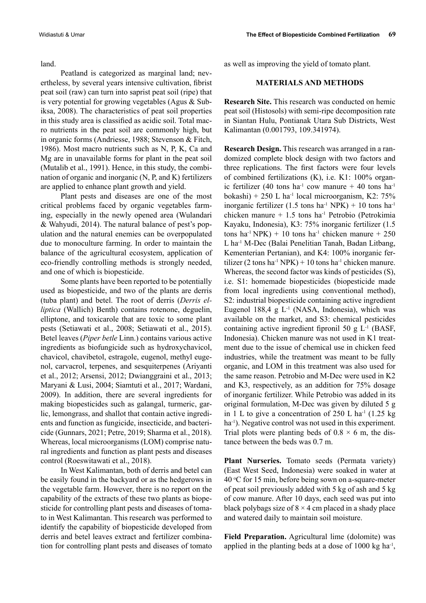land.

Peatland is categorized as marginal land; nevertheless, by several years intensive cultivation, fibrist peat soil (raw) can turn into saprist peat soil (ripe) that is very potential for growing vegetables (Agus & Subiksa, 2008). The characteristics of peat soil properties in this study area is classified as acidic soil. Total macro nutrients in the peat soil are commonly high, but in organic forms (Andriesse, 1988; Stevenson & Fitch, 1986). Most macro nutrients such as N, P, K, Ca and Mg are in unavailable forms for plant in the peat soil (Mutalib et al., 1991). Hence, in this study, the combination of organic and inorganic (N, P, and K) fertilizers are applied to enhance plant growth and yield.

Plant pests and diseases are one of the most critical problems faced by organic vegetables farming, especially in the newly opened area (Wulandari & Wahyudi, 2014). The natural balance of pest's population and the natural enemies can be overpopulated due to monoculture farming. In order to maintain the balance of the agricultural ecosystem, application of eco-friendly controlling methods is strongly needed, and one of which is biopesticide.

Some plants have been reported to be potentially used as biopesticide, and two of the plants are derris (tuba plant) and betel. The root of derris (*Derris elliptica* (Wallich) Benth) contains rotenone, deguelin, elliptone, and toxicarole that are toxic to some plant pests (Setiawati et al., 2008; Setiawati et al., 2015). Betel leaves (*Piper betle* Linn.) contains various active ingredients as biofungicide such as hydroxychavicol, chavicol, chavibetol, estragole, eugenol, methyl eugenol, carvacrol, terpenes, and sesquiterpenes (Ariyanti et al., 2012; Arsensi, 2012; Dwianggraini et al., 2013; Maryani & Lusi, 2004; Siamtuti et al., 2017; Wardani, 2009). In addition, there are several ingredients for making biopesticides such as galangal, turmeric, garlic, lemongrass, and shallot that contain active ingredients and function as fungicide, insecticide, and bactericide (Gunnars, 2021; Petre, 2019; Sharma et al., 2018). Whereas, local microorganisms (LOM) comprise natural ingredients and function as plant pests and diseases control (Roeswitawati et al., 2018).

In West Kalimantan, both of derris and betel can be easily found in the backyard or as the hedgerows in the vegetable farm. However, there is no report on the capability of the extracts of these two plants as biopesticide for controlling plant pests and diseases of tomato in West Kalimantan. This research was performed to identify the capability of biopesticide developed from derris and betel leaves extract and fertilizer combination for controlling plant pests and diseases of tomato as well as improving the yield of tomato plant.

# **MATERIALS AND METHODS**

**Research Site.** This research was conducted on hemic peat soil (Histosols) with semi-ripe decomposition rate in Siantan Hulu, Pontianak Utara Sub Districts, West Kalimantan (0.001793, 109.341974).

**Research Design.** This research was arranged in a randomized complete block design with two factors and three replications. The first factors were four levels of combined fertilizations (K), i.e. K1: 100% organic fertilizer (40 tons ha<sup>-1</sup> cow manure  $+$  40 tons ha<sup>-1</sup> bokashi) + 250 L ha<sup>-1</sup> local microorganism, K2: 75% inorganic fertilizer (1.5 tons ha<sup>-1</sup> NPK) + 10 tons ha<sup>-1</sup> chicken manure  $+ 1.5$  tons ha<sup>-1</sup> Petrobio (Petrokimia Kayaku, Indonesia), K3: 75% inorganic fertilizer (1.5 tons ha<sup>-1</sup> NPK) + 10 tons ha<sup>-1</sup> chicken manure + 250 L ha-1 M-Dec (Balai Penelitian Tanah, Badan Litbang, Kementerian Pertanian), and K4: 100% inorganic fertilizer (2 tons ha<sup>-1</sup> NPK) + 10 tons ha<sup>-1</sup> chicken manure. Whereas, the second factor was kinds of pesticides (S), i.e. S1: homemade biopesticides (biopesticide made from local ingredients using conventional method), S2: industrial biopesticide containing active ingredient Eugenol 188,4 g  $L^{-1}$  (NASA, Indonesia), which was available on the market, and S3: chemical pesticides containing active ingredient fipronil 50 g L-1 (BASF, Indonesia). Chicken manure was not used in K1 treatment due to the issue of chemical use in chicken feed industries, while the treatment was meant to be fully organic, and LOM in this treatment was also used for the same reason. Petrobio and M-Dec were used in K2 and K3, respectively, as an addition for 75% dosage of inorganic fertilizer. While Petrobio was added in its original formulation, M-Dec was given by diluted 5 g in 1 L to give a concentration of  $250$  L ha<sup>-1</sup> (1.25 kg) ha<sup>-1</sup>). Negative control was not used in this experiment. Trial plots were planting beds of  $0.8 \times 6$  m, the distance between the beds was 0.7 m.

**Plant Nurseries.** Tomato seeds (Permata variety) (East West Seed, Indonesia) were soaked in water at 40 °C for 15 min, before being sown on a-square-meter of peat soil previously added with 5 kg of ash and 5 kg of cow manure. After 10 days, each seed was put into black polybags size of  $8 \times 4$  cm placed in a shady place and watered daily to maintain soil moisture.

**Field Preparation.** Agricultural lime (dolomite) was applied in the planting beds at a dose of  $1000 \text{ kg ha}^{-1}$ ,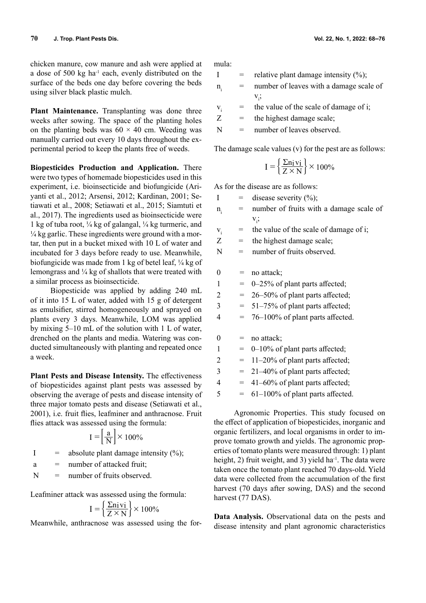chicken manure, cow manure and ash were applied at a dose of 500 kg ha<sup>-1</sup> each, evenly distributed on the surface of the beds one day before covering the beds using silver black plastic mulch.

**Plant Maintenance.** Transplanting was done three weeks after sowing. The space of the planting holes on the planting beds was  $60 \times 40$  cm. Weeding was manually carried out every 10 days throughout the experimental period to keep the plants free of weeds.

**Biopesticides Production and Application.** There were two types of homemade biopesticides used in this experiment, i.e. bioinsecticide and biofungicide (Ariyanti et al., 2012; Arsensi, 2012; Kardinan, 2001; Setiawati et al., 2008; Setiawati et al., 2015; Siamtuti et al., 2017). The ingredients used as bioinsecticide were 1 kg of tuba root,  $\frac{1}{4}$  kg of galangal,  $\frac{1}{4}$  kg turmeric, and  $\frac{1}{4}$  kg garlic. These ingredients were ground with a mortar, then put in a bucket mixed with 10 L of water and incubated for 3 days before ready to use. Meanwhile, biofungicide was made from 1 kg of betel leaf, ¼ kg of lemongrass and ¼ kg of shallots that were treated with a similar process as bioinsecticide.

Biopesticide was applied by adding 240 mL of it into 15 L of water, added with 15 g of detergent as emulsifier, stirred homogeneously and sprayed on plants every 3 days. Meanwhile, LOM was applied by mixing 5–10 mL of the solution with 1 L of water, drenched on the plants and media. Watering was conducted simultaneously with planting and repeated once a week.

**Plant Pests and Disease Intensity.** The effectiveness of biopesticides against plant pests was assessed by observing the average of pests and disease intensity of three major tomato pests and disease (Setiawati et al., 2001), i.e. fruit flies, leafminer and anthracnose. Fruit flies attack was assessed using the formula:

$$
I = \left[\frac{a}{N}\right] \times 100\%
$$

I = absolute plant damage intensity  $(\%)$ ;

 $a =$  number of attacked fruit:

 $N =$  number of fruits observed.

Leafminer attack was assessed using the formula:

$$
I = \left\{ \frac{\Sigma n i}{Z \times N} \right\} \times 100\%
$$

Meanwhile, anthracnose was assessed using the for-

mula:

I = relative plant damage intensity  $(\%)$ ;  $n =$  number of leaves with a damage scale of

- $v_i$ ;
- $v_i$  = the value of the scale of damage of i;
- $Z =$  the highest damage scale;

 $N =$  number of leaves observed.

The damage scale values (v) for the pest are as follows:

$$
I = \left\{ \frac{\Sigma n i \, vi}{Z \times N} \right\} \times 100\%
$$

As for the disease are as follows:

- I = disease severity  $(\%);$
- $n_i$  = number of fruits with a damage scale of  $v_i$ ;
- $v_i$  = the value of the scale of damage of i;
- $Z =$  the highest damage scale;
- $N =$  number of fruits observed.

 $0 = \text{no attack:}$ 

- $1 = 0-25\%$  of plant parts affected;
- $2 = 26-50\%$  of plant parts affected;
- $3 = 51-75\%$  of plant parts affected;
- $4 = 76-100\%$  of plant parts affected.

 $0 =$  no attack;

- $1 = 0-10\%$  of plant parts affected;
- $2 = 11-20\%$  of plant parts affected;
- $3 = 21-40\%$  of plant parts affected;
- $4 = 41-60\%$  of plant parts affected;
- $5 = 61-100\%$  of plant parts affected.

Agronomic Properties. This study focused on the effect of application of biopesticides, inorganic and organic fertilizers, and local organisms in order to improve tomato growth and yields. The agronomic properties of tomato plants were measured through: 1) plant height, 2) fruit weight, and 3) yield ha<sup>-1</sup>. The data were taken once the tomato plant reached 70 days-old. Yield data were collected from the accumulation of the first harvest (70 days after sowing, DAS) and the second harvest (77 DAS).

**Data Analysis.** Observational data on the pests and disease intensity and plant agronomic characteristics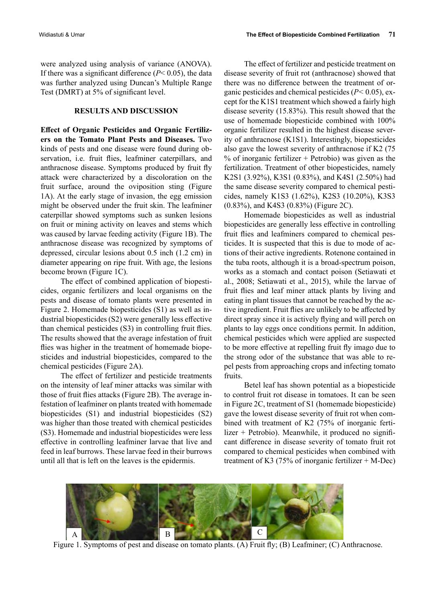were analyzed using analysis of variance (ANOVA). If there was a significant difference (*P*< 0.05), the data was further analyzed using Duncan's Multiple Range Test (DMRT) at 5% of significant level.

#### **RESULTS AND DISCUSSION**

**Effect of Organic Pesticides and Organic Fertilizers on the Tomato Plant Pests and Diseases.** Two kinds of pests and one disease were found during observation, i.e. fruit flies, leafminer caterpillars, and anthracnose disease. Symptoms produced by fruit fly attack were characterized by a discoloration on the fruit surface, around the oviposition sting (Figure 1A). At the early stage of invasion, the egg emission might be observed under the fruit skin. The leafminer caterpillar showed symptoms such as sunken lesions on fruit or mining activity on leaves and stems which was caused by larvae feeding activity (Figure 1B). The anthracnose disease was recognized by symptoms of depressed, circular lesions about 0.5 inch (1.2 cm) in diameter appearing on ripe fruit. With age, the lesions become brown (Figure 1C).

The effect of combined application of biopesticides, organic fertilizers and local organisms on the pests and disease of tomato plants were presented in Figure 2. Homemade biopesticides (S1) as well as industrial biopesticides (S2) were generally less effective than chemical pesticides (S3) in controlling fruit flies. The results showed that the average infestation of fruit flies was higher in the treatment of homemade biopesticides and industrial biopesticides, compared to the chemical pesticides (Figure 2A).

The effect of fertilizer and pesticide treatments on the intensity of leaf miner attacks was similar with those of fruit flies attacks (Figure 2B). The average infestation of leafminer on plants treated with homemade biopesticides (S1) and industrial biopesticides (S2) was higher than those treated with chemical pesticides (S3). Homemade and industrial biopesticides were less effective in controlling leafminer larvae that live and feed in leaf burrows. These larvae feed in their burrows until all that is left on the leaves is the epidermis.

The effect of fertilizer and pesticide treatment on disease severity of fruit rot (anthracnose) showed that there was no difference between the treatment of organic pesticides and chemical pesticides (*P<* 0.05), except for the K1S1 treatment which showed a fairly high disease severity (15.83%). This result showed that the use of homemade biopesticide combined with 100% organic fertilizer resulted in the highest disease severity of anthracnose (K1S1). Interestingly, biopesticides also gave the lowest severity of anthracnose if K2 (75 % of inorganic fertilizer  $+$  Petrobio) was given as the fertilization. Treatment of other biopesticides, namely K2S1 (3.92%), K3S1 (0.83%), and K4S1 (2.50%) had the same disease severity compared to chemical pesticides, namely K1S3 (1.62%), K2S3 (10.20%), K3S3 (0.83%), and K4S3 (0.83%) (Figure 2C).

Homemade biopesticides as well as industrial biopesticides are generally less effective in controlling fruit flies and leafminers compared to chemical pesticides. It is suspected that this is due to mode of actions of their active ingredients. Rotenone contained in the tuba roots, although it is a broad-spectrum poison, works as a stomach and contact poison (Setiawati et al., 2008; Setiawati et al., 2015), while the larvae of fruit flies and leaf miner attack plants by living and eating in plant tissues that cannot be reached by the active ingredient. Fruit flies are unlikely to be affected by direct spray since it is actively flying and will perch on plants to lay eggs once conditions permit. In addition, chemical pesticides which were applied are suspected to be more effective at repelling fruit fly imago due to the strong odor of the substance that was able to repel pests from approaching crops and infecting tomato fruits.

Betel leaf has shown potential as a biopesticide to control fruit rot disease in tomatoes. It can be seen in Figure 2C, treatment of S1 (homemade biopesticide) gave the lowest disease severity of fruit rot when combined with treatment of K2 (75% of inorganic fertilizer + Petrobio). Meanwhile, it produced no significant difference in disease severity of tomato fruit rot compared to chemical pesticides when combined with treatment of K3 (75% of inorganic fertilizer  $+$  M-Dec)



Figure 1. Symptoms of pest and disease on tomato plants. (A) Fruit fly; (B) Leafminer; (C) Anthracnose.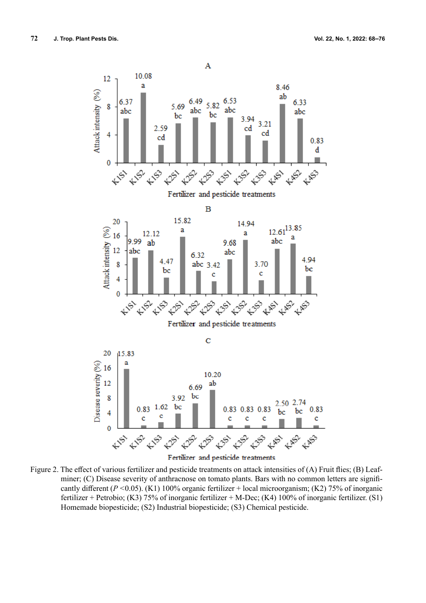

Figure 2. The effect of various fertilizer and pesticide treatments on attack intensities of (A) Fruit flies; (B) Leafminer; (C) Disease severity of anthracnose on tomato plants. Bars with no common letters are significantly different (*P <*0.05). (K1) 100% organic fertilizer + local microorganism; (K2) 75% of inorganic fertilizer + Petrobio; (K3) 75% of inorganic fertilizer + M-Dec; (K4) 100% of inorganic fertilizer. (S1) Homemade biopesticide; (S2) Industrial biopesticide; (S3) Chemical pesticide.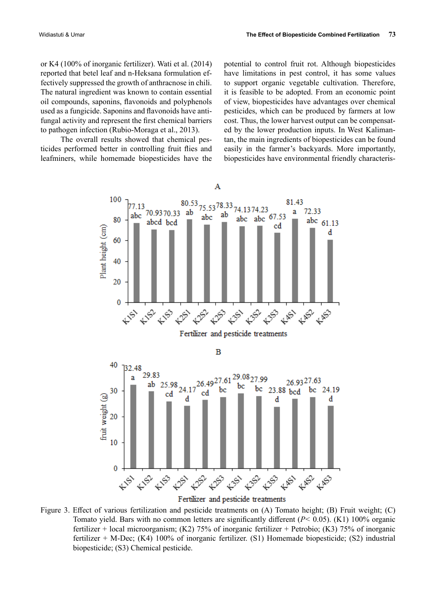or K4 (100% of inorganic fertilizer). Wati et al. (2014) reported that betel leaf and n-Heksana formulation effectively suppressed the growth of anthracnose in chili. The natural ingredient was known to contain essential oil compounds, saponins, flavonoids and polyphenols used as a fungicide. Saponins and flavonoids have antifungal activity and represent the first chemical barriers to pathogen infection (Rubio-Moraga et al., 2013).

The overall results showed that chemical pesticides performed better in controlling fruit flies and leafminers, while homemade biopesticides have the

potential to control fruit rot. Although biopesticides have limitations in pest control, it has some values to support organic vegetable cultivation. Therefore, it is feasible to be adopted. From an economic point of view, biopesticides have advantages over chemical pesticides, which can be produced by farmers at low cost. Thus, the lower harvest output can be compensated by the lower production inputs. In West Kalimantan, the main ingredients of biopesticides can be found easily in the farmer's backyards. More importantly, biopesticides have environmental friendly characteris-



Fertilizer and pesticide treatments

Figure 3. Effect of various fertilization and pesticide treatments on (A) Tomato height; (B) Fruit weight; (C) Tomato yield. Bars with no common letters are significantly different (*P<* 0.05). (K1) 100% organic fertilizer + local microorganism; (K2) 75% of inorganic fertilizer + Petrobio; (K3) 75% of inorganic fertilizer + M-Dec; (K4) 100% of inorganic fertilizer. (S1) Homemade biopesticide; (S2) industrial biopesticide; (S3) Chemical pesticide.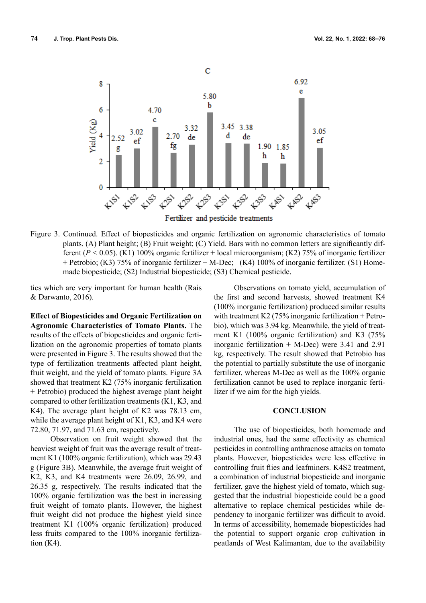

Figure 3. Continued. Effect of biopesticides and organic fertilization on agronomic characteristics of tomato plants. (A) Plant height; (B) Fruit weight; (C) Yield. Bars with no common letters are significantly different (*P <* 0.05). (K1) 100% organic fertilizer + local microorganism; (K2) 75% of inorganic fertilizer + Petrobio; (K3) 75% of inorganic fertilizer + M-Dec; (K4) 100% of inorganic fertilizer. (S1) Homemade biopesticide; (S2) Industrial biopesticide; (S3) Chemical pesticide.

tics which are very important for human health (Rais & Darwanto, 2016).

**Effect of Biopesticides and Organic Fertilization on Agronomic Characteristics of Tomato Plants.** The results of the effects of biopesticides and organic fertilization on the agronomic properties of tomato plants were presented in Figure 3. The results showed that the type of fertilization treatments affected plant height, fruit weight, and the yield of tomato plants. Figure 3A showed that treatment K2 (75% inorganic fertilization + Petrobio) produced the highest average plant height compared to other fertilization treatments (K1, K3, and K4). The average plant height of K2 was 78.13 cm, while the average plant height of K1, K3, and K4 were 72.80, 71.97, and 71.63 cm, respectively.

Observation on fruit weight showed that the heaviest weight of fruit was the average result of treatment K1 (100% organic fertilization), which was 29.43 g (Figure 3B). Meanwhile, the average fruit weight of K2, K3, and K4 treatments were 26.09, 26.99, and 26.35 g, respectively. The results indicated that the 100% organic fertilization was the best in increasing fruit weight of tomato plants. However, the highest fruit weight did not produce the highest yield since treatment K1 (100% organic fertilization) produced less fruits compared to the 100% inorganic fertilization (K4).

Observations on tomato yield, accumulation of the first and second harvests, showed treatment K4 (100% inorganic fertilization) produced similar results with treatment K2 (75% inorganic fertilization + Petrobio), which was 3.94 kg. Meanwhile, the yield of treatment K1 (100% organic fertilization) and K3 (75% inorganic fertilization  $+$  M-Dec) were 3.41 and 2.91 kg, respectively. The result showed that Petrobio has the potential to partially substitute the use of inorganic fertilizer, whereas M-Dec as well as the 100% organic fertilization cannot be used to replace inorganic fertilizer if we aim for the high yields.

# **CONCLUSION**

The use of biopesticides, both homemade and industrial ones, had the same effectivity as chemical pesticides in controlling anthracnose attacks on tomato plants. However, biopesticides were less effective in controlling fruit flies and leafminers. K4S2 treatment, a combination of industrial biopesticide and inorganic fertilizer, gave the highest yield of tomato, which suggested that the industrial biopesticide could be a good alternative to replace chemical pesticides while dependency to inorganic fertilizer was difficult to avoid. In terms of accessibility, homemade biopesticides had the potential to support organic crop cultivation in peatlands of West Kalimantan, due to the availability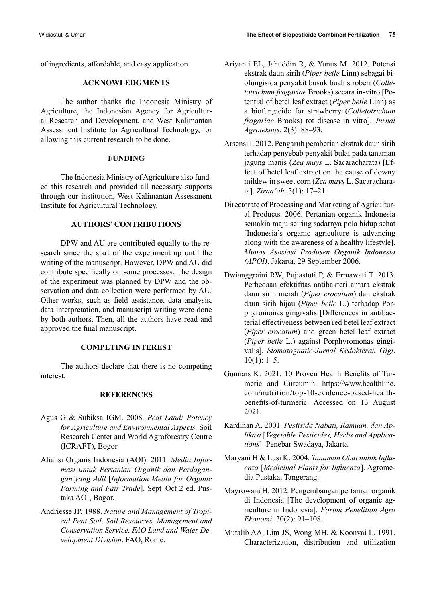of ingredients, affordable, and easy application.

# **ACKNOWLEDGMENTS**

The author thanks the Indonesia Ministry of Agriculture, the Indonesian Agency for Agricultural Research and Development, and West Kalimantan Assessment Institute for Agricultural Technology, for allowing this current research to be done.

#### **FUNDING**

The Indonesia Ministry of Agriculture also funded this research and provided all necessary supports through our institution, West Kalimantan Assessment Institute for Agricultural Technology.

# **AUTHORS' CONTRIBUTIONS**

DPW and AU are contributed equally to the research since the start of the experiment up until the writing of the manuscript. However, DPW and AU did contribute specifically on some processes. The design of the experiment was planned by DPW and the observation and data collection were performed by AU. Other works, such as field assistance, data analysis, data interpretation, and manuscript writing were done by both authors. Then, all the authors have read and approved the final manuscript.

## **COMPETING INTEREST**

The authors declare that there is no competing interest.

#### **REFERENCES**

- Agus G & Subiksa IGM. 2008. *Peat Land: Potency for Agriculture and Environmental Aspects.* Soil Research Center and World Agroforestry Centre (ICRAFT), Bogor.
- Aliansi Organis Indonesia (AOI). 2011. *Media Informasi untuk Pertanian Organik dan Perdagangan yang Adil* [*Information Media for Organic Farming and Fair Trade*]. Sept–Oct 2 ed. Pustaka AOI, Bogor.
- Andriesse JP. 1988. *Nature and Management of Tropical Peat Soil*. *Soil Resources, Management and Conservation Service, FAO Land and Water Development Division*. FAO, Rome.
- Ariyanti EL, Jahuddin R, & Yunus M. 2012. Potensi ekstrak daun sirih (*Piper betle* Linn) sebagai biofungisida penyakit busuk buah stroberi (*Colletotrichum fragariae* Brooks) secara in-vitro [Potential of betel leaf extract (*Piper betle* Linn) as a biofungicide for strawberry (*Colletotrichum fragariae* Brooks) rot disease in vitro]. *Jurnal Agroteknos*. 2(3): 88–93.
- Arsensi I. 2012. Pengaruh pemberian ekstrak daun sirih terhadap penyebab penyakit bulai pada tanaman jagung manis (*Zea mays* L. Sacaracharata) [Effect of betel leaf extract on the cause of downy mildew in sweet corn (*Zea mays* L. Sacaracharata]. *Ziraa'ah.* 3(1): 17–21.
- Directorate of Processing and Marketing of Agricultural Products. 2006. Pertanian organik Indonesia semakin maju seiring sadarnya pola hidup sehat [Indonesia's organic agriculture is advancing along with the awareness of a healthy lifestyle]. *Munas Asosiasi Produsen Organik Indonesia (APOI)*. Jakarta. 29 September 2006.
- Dwianggraini RW, Pujiastuti P, & Ermawati T. 2013. Perbedaan efektifitas antibakteri antara ekstrak daun sirih merah (*Piper crocatum*) dan ekstrak daun sirih hijau (*Piper betle* L.) terhadap Porphyromonas gingivalis [Differences in antibacterial effectiveness between red betel leaf extract (*Piper crocatum*) and green betel leaf extract (*Piper betle* L.) against Porphyromonas gingivalis]. *Stomatognatic-Jurnal Kedokteran Gigi*.  $10(1): 1-5.$
- Gunnars K. 2021. 10 Proven Health Benefits of Turmeric and Curcumin. https://www.healthline. com/nutrition/top-10-evidence-based-healthbenefits-of-turmeric. Accessed on 13 August 2021.
- Kardinan A. 2001. *Pestisida Nabati, Ramuan, dan Aplikasi* [*Vegetable Pesticides, Herbs and Applications*]. Penebar Swadaya, Jakarta.
- Maryani H & Lusi K. 2004. *Tanaman Obat untuk Influenza* [*Medicinal Plants for Influenza*]. Agromedia Pustaka, Tangerang.
- Mayrowani H. 2012. Pengembangan pertanian organik di Indonesia [The development of organic agriculture in Indonesia]. *Forum Penelitian Agro Ekonomi*. 30(2): 91–108.
- Mutalib AA, Lim JS, Wong MH, & Koonvai L. 1991. Characterization, distribution and utilization